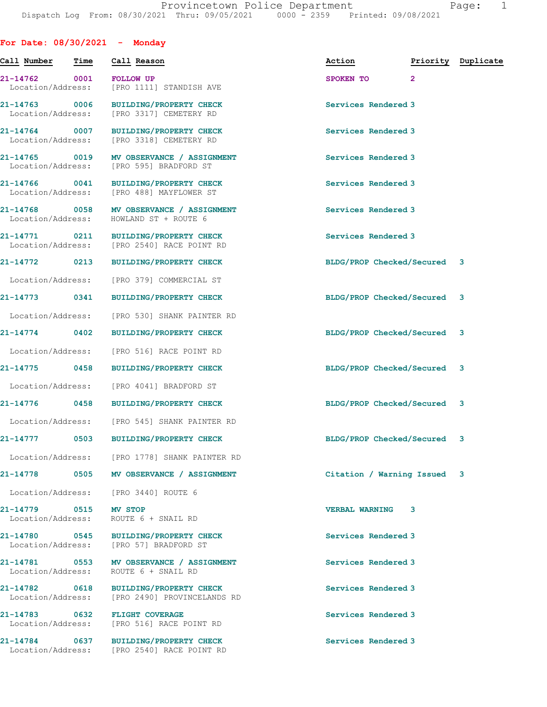| For Date: $08/30/2021$ - Monday    |      |                                                                                        |                             |                |                    |
|------------------------------------|------|----------------------------------------------------------------------------------------|-----------------------------|----------------|--------------------|
| Call Number                        | Time | Call Reason                                                                            | Action                      |                | Priority Duplicate |
| 21-14762 0001<br>Location/Address: |      | <b>FOLLOW UP</b><br>[PRO 1111] STANDISH AVE                                            | SPOKEN TO                   | $\overline{2}$ |                    |
| 21-14763 0006<br>Location/Address: |      | <b>BUILDING/PROPERTY CHECK</b><br>[PRO 3317] CEMETERY RD                               | Services Rendered 3         |                |                    |
| 21-14764 0007<br>Location/Address: |      | <b>BUILDING/PROPERTY CHECK</b><br>[PRO 3318] CEMETERY RD                               | Services Rendered 3         |                |                    |
| 21-14765 0019<br>Location/Address: |      | MV OBSERVANCE / ASSIGNMENT<br>[PRO 595] BRADFORD ST                                    | Services Rendered 3         |                |                    |
| 21-14766 0041                      |      | BUILDING/PROPERTY CHECK<br>Location/Address: [PRO 488] MAYFLOWER ST                    | Services Rendered 3         |                |                    |
|                                    |      | 21-14768 0058 MV OBSERVANCE / ASSIGNMENT<br>Location/Address: HOWLAND ST + ROUTE 6     | Services Rendered 3         |                |                    |
|                                    |      | 21-14771 0211 BUILDING/PROPERTY CHECK<br>Location/Address: [PRO 2540] RACE POINT RD    | Services Rendered 3         |                |                    |
| 21-14772 0213                      |      | <b>BUILDING/PROPERTY CHECK</b>                                                         | BLDG/PROP Checked/Secured 3 |                |                    |
| Location/Address:                  |      | [PRO 379] COMMERCIAL ST                                                                |                             |                |                    |
| 21-14773 0341                      |      | <b>BUILDING/PROPERTY CHECK</b>                                                         | BLDG/PROP Checked/Secured 3 |                |                    |
|                                    |      | Location/Address: [PRO 530] SHANK PAINTER RD                                           |                             |                |                    |
| 21-14774 0402                      |      | <b>BUILDING/PROPERTY CHECK</b>                                                         | BLDG/PROP Checked/Secured 3 |                |                    |
| Location/Address:                  |      | [PRO 516] RACE POINT RD                                                                |                             |                |                    |
|                                    |      | 21-14775 0458 BUILDING/PROPERTY CHECK                                                  | BLDG/PROP Checked/Secured 3 |                |                    |
|                                    |      | Location/Address: [PRO 4041] BRADFORD ST                                               |                             |                |                    |
|                                    |      | 21-14776 0458 BUILDING/PROPERTY CHECK                                                  | BLDG/PROP Checked/Secured 3 |                |                    |
|                                    |      | Location/Address: [PRO 545] SHANK PAINTER RD                                           |                             |                |                    |
|                                    |      | 21-14777 0503 BUILDING/PROPERTY CHECK                                                  | BLDG/PROP Checked/Secured 3 |                |                    |
|                                    |      | Location/Address: [PRO 1778] SHANK PAINTER RD                                          |                             |                |                    |
|                                    |      | 21-14778 0505 MV OBSERVANCE / ASSIGNMENT                                               | Citation / Warning Issued 3 |                |                    |
|                                    |      | Location/Address: [PRO 3440] ROUTE 6                                                   |                             |                |                    |
| 21-14779 0515 MV STOP              |      | Location/Address: ROUTE 6 + SNAIL RD                                                   | <b>VERBAL WARNING 3</b>     |                |                    |
|                                    |      | 21-14780 0545 BUILDING/PROPERTY CHECK<br>Location/Address: [PRO 57] BRADFORD ST        | Services Rendered 3         |                |                    |
| Location/Address:                  |      | 21-14781 0553 MV OBSERVANCE / ASSIGNMENT<br>ROUTE 6 + SNAIL RD                         | Services Rendered 3         |                |                    |
|                                    |      | 21-14782 0618 BUILDING/PROPERTY CHECK<br>Location/Address: [PRO 2490] PROVINCELANDS RD | Services Rendered 3         |                |                    |
| Location/Address:                  |      | 21-14783 0632 FLIGHT COVERAGE<br>[PRO 516] RACE POINT RD                               | Services Rendered 3         |                |                    |
|                                    |      | 21-14784 0637 BUILDING/PROPERTY CHECK<br>Location/Address: [PRO 2540] RACE POINT RD    | Services Rendered 3         |                |                    |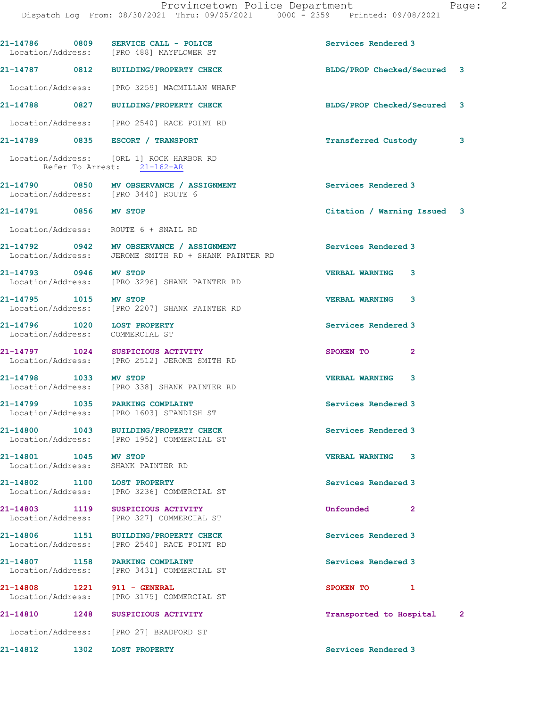|                                                                | 21-14786 0809 SERVICE CALL - POLICE<br>Location/Address: [PRO 488] MAYFLOWER ST                  | Services Rendered 3                     |
|----------------------------------------------------------------|--------------------------------------------------------------------------------------------------|-----------------------------------------|
|                                                                | 21-14787 0812 BUILDING/PROPERTY CHECK                                                            | BLDG/PROP Checked/Secured 3             |
|                                                                | Location/Address: [PRO 3259] MACMILLAN WHARF                                                     |                                         |
|                                                                | 21-14788 0827 BUILDING/PROPERTY CHECK                                                            | BLDG/PROP Checked/Secured 3             |
|                                                                | Location/Address: [PRO 2540] RACE POINT RD                                                       |                                         |
|                                                                | 21-14789 0835 ESCORT / TRANSPORT                                                                 | Transferred Custody<br>3                |
|                                                                | Location/Address: [ORL 1] ROCK HARBOR RD<br>Refer To Arrest: 21-162-AR                           |                                         |
|                                                                | 21-14790 0850 MV OBSERVANCE / ASSIGNMENT<br>Location/Address: [PRO 3440] ROUTE 6                 | <b>Services Rendered 3</b>              |
| 21-14791 0856 MV STOP                                          |                                                                                                  | Citation / Warning Issued 3             |
|                                                                | Location/Address: ROUTE 6 + SNAIL RD                                                             |                                         |
|                                                                | 21-14792 0942 MV OBSERVANCE / ASSIGNMENT<br>Location/Address: JEROME SMITH RD + SHANK PAINTER RD | Services Rendered 3                     |
| 21-14793 0946 MV STOP                                          | Location/Address: [PRO 3296] SHANK PAINTER RD                                                    | <b>VERBAL WARNING 3</b>                 |
| 21-14795 1015 MV STOP                                          | Location/Address: [PRO 2207] SHANK PAINTER RD                                                    | <b>VERBAL WARNING 3</b>                 |
| 21-14796 1020 LOST PROPERTY<br>Location/Address: COMMERCIAL ST |                                                                                                  | Services Rendered 3                     |
|                                                                | 21-14797 1024 SUSPICIOUS ACTIVITY<br>Location/Address: [PRO 2512] JEROME SMITH RD                | SPOKEN TO 2                             |
| 21-14798 1033 MV STOP                                          | Location/Address: [PRO 338] SHANK PAINTER RD                                                     | <b>VERBAL WARNING 3</b>                 |
|                                                                | 21-14799 1035 PARKING COMPLAINT<br>Location/Address: [PRO 1603] STANDISH ST                      | Services Rendered 3                     |
| 21-14800<br>1043                                               | BUILDING/PROPERTY CHECK<br>Location/Address: [PRO 1952] COMMERCIAL ST                            | Services Rendered 3                     |
| 21-14801 1045 MV STOP                                          | Location/Address: SHANK PAINTER RD                                                               | <b>VERBAL WARNING</b><br>3              |
|                                                                | 21-14802 1100 LOST PROPERTY<br>Location/Address: [PRO 3236] COMMERCIAL ST                        | Services Rendered 3                     |
|                                                                | 21-14803 1119 SUSPICIOUS ACTIVITY<br>Location/Address: [PRO 327] COMMERCIAL ST                   | Unfounded<br>2                          |
|                                                                | 21-14806 1151 BUILDING/PROPERTY CHECK<br>Location/Address: [PRO 2540] RACE POINT RD              | Services Rendered 3                     |
|                                                                | 21-14807 1158 PARKING COMPLAINT<br>Location/Address: [PRO 3431] COMMERCIAL ST                    | Services Rendered 3                     |
| 21-14808 1221 911 - GENERAL                                    | Location/Address: [PRO 3175] COMMERCIAL ST                                                       | SPOKEN TO<br>1                          |
| 21-14810                                                       | 1248 SUSPICIOUS ACTIVITY                                                                         | Transported to Hospital<br>$\mathbf{2}$ |
|                                                                | Location/Address: [PRO 27] BRADFORD ST                                                           |                                         |
| 1302<br>21-14812                                               | <b>LOST PROPERTY</b>                                                                             | Services Rendered 3                     |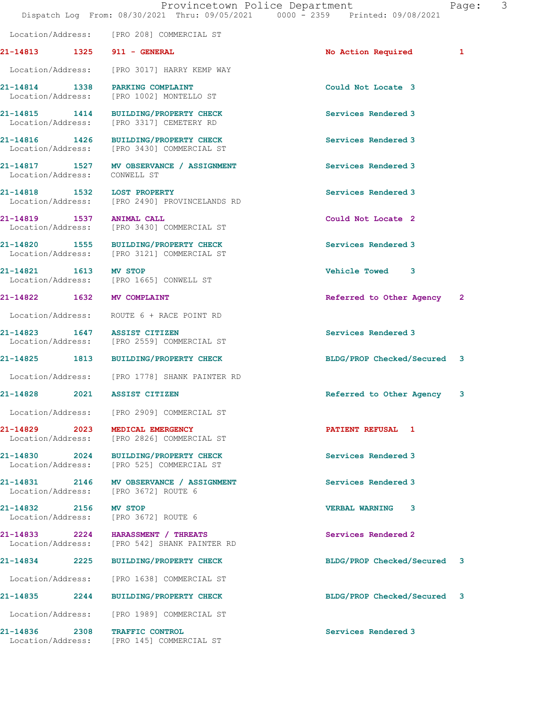|                              | Provincetown Police Department<br>Dispatch Log From: 08/30/2021 Thru: 09/05/2021 0000 - 2359 Printed: 09/08/2021 |                             | 3<br>Page: |
|------------------------------|------------------------------------------------------------------------------------------------------------------|-----------------------------|------------|
|                              | Location/Address: [PRO 208] COMMERCIAL ST                                                                        |                             |            |
| 21-14813 1325 911 - GENERAL  |                                                                                                                  | <b>No Action Required</b>   | 1          |
|                              | Location/Address: [PRO 3017] HARRY KEMP WAY                                                                      |                             |            |
|                              | 21-14814 1338 PARKING COMPLAINT<br>Location/Address: [PRO 1002] MONTELLO ST                                      | Could Not Locate 3          |            |
|                              | 21-14815 1414 BUILDING/PROPERTY CHECK<br>Location/Address: [PRO 3317] CEMETERY RD                                | Services Rendered 3         |            |
|                              | 21-14816 1426 BUILDING/PROPERTY CHECK<br>Location/Address: [PRO 3430] COMMERCIAL ST                              | Services Rendered 3         |            |
| Location/Address: CONWELL ST | 21-14817 1527 MV OBSERVANCE / ASSIGNMENT                                                                         | Services Rendered 3         |            |
| 21-14818 1532 LOST PROPERTY  | Location/Address: [PRO 2490] PROVINCELANDS RD                                                                    | Services Rendered 3         |            |
| 21-14819 1537 ANIMAL CALL    | Location/Address: [PRO 3430] COMMERCIAL ST                                                                       | Could Not Locate 2          |            |
|                              | 21-14820 1555 BUILDING/PROPERTY CHECK<br>Location/Address: [PRO 3121] COMMERCIAL ST                              | Services Rendered 3         |            |
| 21-14821 1613 MV STOP        | Location/Address: [PRO 1665] CONWELL ST                                                                          | Vehicle Towed 3             |            |
| 21-14822 1632 MV COMPLAINT   |                                                                                                                  | Referred to Other Agency 2  |            |
|                              | Location/Address: ROUTE 6 + RACE POINT RD                                                                        |                             |            |
| 21-14823 1647 ASSIST CITIZEN | Location/Address: [PRO 2559] COMMERCIAL ST                                                                       | Services Rendered 3         |            |
|                              | 21-14825 1813 BUILDING/PROPERTY CHECK                                                                            | BLDG/PROP Checked/Secured 3 |            |
|                              | Location/Address: [PRO 1778] SHANK PAINTER RD                                                                    |                             |            |
| 21-14828<br>2021             | <b>ASSIST CITIZEN</b>                                                                                            | Referred to Other Agency    | 3          |
|                              | Location/Address: [PRO 2909] COMMERCIAL ST                                                                       |                             |            |
|                              | 21-14829 2023 MEDICAL EMERGENCY<br>Location/Address: [PRO 2826] COMMERCIAL ST                                    | PATIENT REFUSAL 1           |            |
|                              | 21-14830 2024 BUILDING/PROPERTY CHECK<br>Location/Address: [PRO 525] COMMERCIAL ST                               | Services Rendered 3         |            |
|                              | 21-14831 2146 MV OBSERVANCE / ASSIGNMENT<br>Location/Address: [PRO 3672] ROUTE 6                                 | Services Rendered 3         |            |
| 21-14832 2156 MV STOP        | Location/Address: [PRO 3672] ROUTE 6                                                                             | VERBAL WARNING 3            |            |
|                              | 21-14833 2224 HARASSMENT / THREATS<br>Location/Address: [PRO 542] SHANK PAINTER RD                               | Services Rendered 2         |            |
|                              | 21-14834 2225 BUILDING/PROPERTY CHECK                                                                            | BLDG/PROP Checked/Secured 3 |            |
|                              | Location/Address: [PRO 1638] COMMERCIAL ST                                                                       |                             |            |
|                              | 21-14835 2244 BUILDING/PROPERTY CHECK                                                                            | BLDG/PROP Checked/Secured 3 |            |
|                              | Location/Address: [PRO 1989] COMMERCIAL ST                                                                       |                             |            |
|                              | 21-14836 2308 TRAFFIC CONTROL<br>Location/Address: [PRO 145] COMMERCIAL ST                                       | Services Rendered 3         |            |
|                              |                                                                                                                  |                             |            |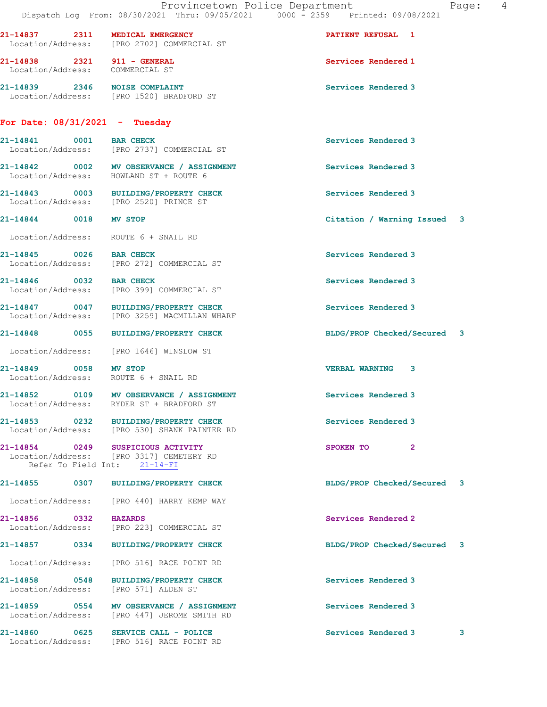|                                                                   | Provincetown Police Department<br>Dispatch Log From: 08/30/2021 Thru: 09/05/2021 0000 - 2359 Printed: 09/08/2021 | 4<br>Page:                  |
|-------------------------------------------------------------------|------------------------------------------------------------------------------------------------------------------|-----------------------------|
| 21-14837 2311 MEDICAL EMERGENCY                                   | Location/Address: [PRO 2702] COMMERCIAL ST                                                                       | <b>PATIENT REFUSAL 1</b>    |
| 21-14838 2321 911 - GENERAL<br>Location/Address: COMMERCIAL ST    |                                                                                                                  | Services Rendered 1         |
| 21-14839 2346 NOISE COMPLAINT                                     | Location/Address: [PRO 1520] BRADFORD ST                                                                         | Services Rendered 3         |
| For Date: $08/31/2021$ - Tuesday                                  |                                                                                                                  |                             |
| 21-14841 0001 BAR CHECK                                           | Location/Address: [PRO 2737] COMMERCIAL ST                                                                       | Services Rendered 3         |
| Location/Address: HOWLAND ST + ROUTE 6                            | 21-14842 0002 MV OBSERVANCE / ASSIGNMENT                                                                         | Services Rendered 3         |
|                                                                   | 21-14843 0003 BUILDING/PROPERTY CHECK<br>Location/Address: [PRO 2520] PRINCE ST                                  | Services Rendered 3         |
| 21-14844 0018 MV STOP                                             |                                                                                                                  | Citation / Warning Issued 3 |
| Location/Address: ROUTE 6 + SNAIL RD                              |                                                                                                                  |                             |
| 21-14845 0026 BAR CHECK                                           | Location/Address: [PRO 272] COMMERCIAL ST                                                                        | Services Rendered 3         |
| 21-14846 0032 BAR CHECK                                           | Location/Address: [PRO 399] COMMERCIAL ST                                                                        | Services Rendered 3         |
|                                                                   | 21-14847 0047 BUILDING/PROPERTY CHECK<br>Location/Address: [PRO 3259] MACMILLAN WHARF                            | Services Rendered 3         |
|                                                                   | 21-14848 0055 BUILDING/PROPERTY CHECK                                                                            | BLDG/PROP Checked/Secured 3 |
|                                                                   | Location/Address: [PRO 1646] WINSLOW ST                                                                          |                             |
| 21-14849 0058 MV STOP<br>Location/Address: ROUTE 6 + SNAIL RD     |                                                                                                                  | <b>VERBAL WARNING 3</b>     |
| Location/Address:                                                 | 21-14852 0109 MV OBSERVANCE / ASSIGNMENT<br>RYDER ST + BRADFORD ST                                               | Services Rendered 3         |
|                                                                   | 21-14853 0232 BUILDING/PROPERTY CHECK<br>Location/Address: [PRO 530] SHANK PAINTER RD                            | Services Rendered 3         |
| 21-14854 0249 SUSPICIOUS ACTIVITY<br>Refer To Field Int: 21-14-FI | Location/Address: [PRO 3317] CEMETERY RD                                                                         | SPOKEN TO<br>$\mathbf{2}$   |
|                                                                   | 21-14855 0307 BUILDING/PROPERTY CHECK                                                                            | BLDG/PROP Checked/Secured 3 |
|                                                                   | Location/Address: [PRO 440] HARRY KEMP WAY                                                                       |                             |
| 21-14856 0332 HAZARDS                                             | Location/Address: [PRO 223] COMMERCIAL ST                                                                        | Services Rendered 2         |
|                                                                   | 21-14857 0334 BUILDING/PROPERTY CHECK                                                                            | BLDG/PROP Checked/Secured 3 |
| Location/Address:                                                 | [PRO 516] RACE POINT RD                                                                                          |                             |
| 21-14858 0548<br>Location/Address:                                | <b>BUILDING/PROPERTY CHECK</b><br>[PRO 571] ALDEN ST                                                             | Services Rendered 3         |
|                                                                   | 21-14859 0554 MV OBSERVANCE / ASSIGNMENT<br>Location/Address: [PRO 447] JEROME SMITH RD                          | Services Rendered 3         |
| 21-14860<br>0625                                                  | SERVICE CALL - POLICE                                                                                            | Services Rendered 3<br>3    |

Location/Address: [PRO 516] RACE POINT RD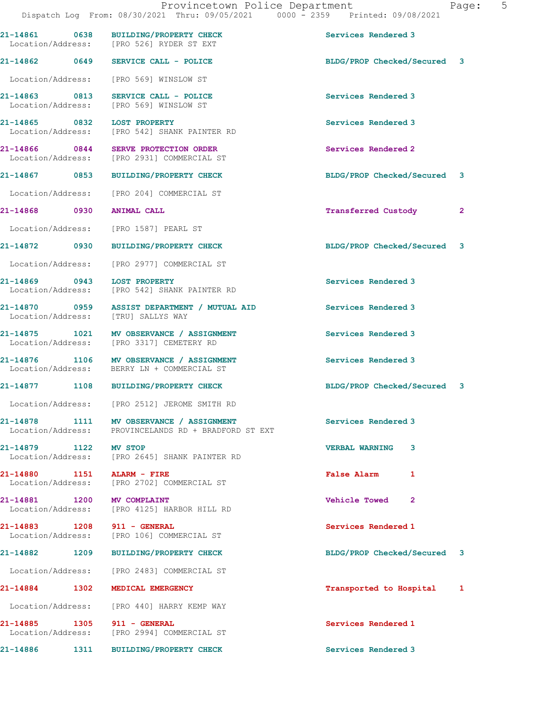|                                       |      | 21-14861 0638 BUILDING/PROPERTY CHECK<br>Location/Address: [PRO 526] RYDER ST EXT      | Services Rendered 3                  |  |
|---------------------------------------|------|----------------------------------------------------------------------------------------|--------------------------------------|--|
|                                       |      | 21-14862 0649 SERVICE CALL - POLICE                                                    | BLDG/PROP Checked/Secured 3          |  |
|                                       |      | Location/Address: [PRO 569] WINSLOW ST                                                 |                                      |  |
|                                       |      | 21-14863 0813 SERVICE CALL - POLICE<br>Location/Address: [PRO 569] WINSLOW ST          | Services Rendered 3                  |  |
| 21-14865 0832 LOST PROPERTY           |      | Location/Address: [PRO 542] SHANK PAINTER RD                                           | Services Rendered 3                  |  |
|                                       |      | 21-14866 0844 SERVE PROTECTION ORDER<br>Location/Address: [PRO 2931] COMMERCIAL ST     | Services Rendered 2                  |  |
|                                       |      | 21-14867 0853 BUILDING/PROPERTY CHECK                                                  | BLDG/PROP Checked/Secured 3          |  |
|                                       |      | Location/Address: [PRO 204] COMMERCIAL ST                                              |                                      |  |
| 21-14868 0930 ANIMAL CALL             |      |                                                                                        | Transferred Custody 2                |  |
|                                       |      | Location/Address: [PRO 1587] PEARL ST                                                  |                                      |  |
|                                       |      | 21-14872 0930 BUILDING/PROPERTY CHECK                                                  | BLDG/PROP Checked/Secured 3          |  |
|                                       |      | Location/Address: [PRO 2977] COMMERCIAL ST                                             |                                      |  |
| 21-14869 0943 LOST PROPERTY           |      | Location/Address: [PRO 542] SHANK PAINTER RD                                           | Services Rendered 3                  |  |
|                                       |      | 21-14870 0959 ASSIST DEPARTMENT / MUTUAL AID<br>Location/Address: [TRU] SALLYS WAY     | Services Rendered 3                  |  |
|                                       |      | 21-14875 1021 MV OBSERVANCE / ASSIGNMENT<br>Location/Address: [PRO 3317] CEMETERY RD   | Services Rendered 3                  |  |
|                                       |      | 21-14876 1106 MV OBSERVANCE / ASSIGNMENT<br>Location/Address: BERRY LN + COMMERCIAL ST | Services Rendered 3                  |  |
|                                       |      | 21-14877 1108 BUILDING/PROPERTY CHECK                                                  | BLDG/PROP Checked/Secured 3          |  |
|                                       |      | Location/Address: [PRO 2512] JEROME SMITH RD                                           |                                      |  |
| 21-14878<br>1111<br>Location/Address: |      | MV OBSERVANCE / ASSIGNMENT<br>PROVINCELANDS RD + BRADFORD ST EXT                       | Services Rendered 3                  |  |
| 21-14879 1122 MV STOP                 |      | Location/Address: [PRO 2645] SHANK PAINTER RD                                          | <b>VERBAL WARNING</b><br>3           |  |
| 21-14880                              |      | 1151 ALARM - FIRE<br>Location/Address: [PRO 2702] COMMERCIAL ST                        | <b>False Alarm</b><br>1              |  |
| 21-14881 1200 MV COMPLAINT            |      | Location/Address: [PRO 4125] HARBOR HILL RD                                            | <b>Vehicle Towed</b><br>$\mathbf{2}$ |  |
| 21-14883 1208 911 - GENERAL           |      | Location/Address: [PRO 106] COMMERCIAL ST                                              | Services Rendered 1                  |  |
|                                       |      | 21-14882 1209 BUILDING/PROPERTY CHECK                                                  | BLDG/PROP Checked/Secured 3          |  |
|                                       |      | Location/Address: [PRO 2483] COMMERCIAL ST                                             |                                      |  |
| 21-14884                              | 1302 | MEDICAL EMERGENCY                                                                      | Transported to Hospital 1            |  |
|                                       |      | Location/Address: [PRO 440] HARRY KEMP WAY                                             |                                      |  |
| 21-14885 1305 911 - GENERAL           |      | Location/Address: [PRO 2994] COMMERCIAL ST                                             | Services Rendered 1                  |  |
| 21-14886                              | 1311 | BUILDING/PROPERTY CHECK                                                                | Services Rendered 3                  |  |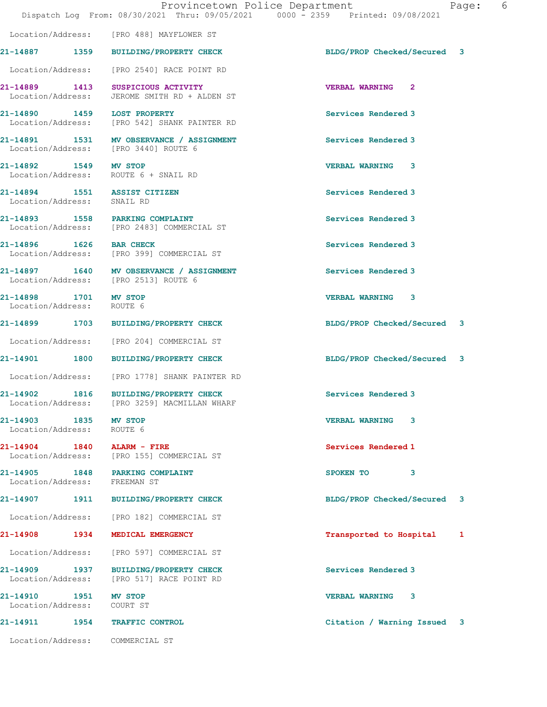|                                                     | Provincetown Police Department<br>Dispatch Log From: 08/30/2021 Thru: 09/05/2021 0000 - 2359 Printed: 09/08/2021 |                             | Page:<br>6 |  |
|-----------------------------------------------------|------------------------------------------------------------------------------------------------------------------|-----------------------------|------------|--|
|                                                     | Location/Address: [PRO 488] MAYFLOWER ST                                                                         |                             |            |  |
|                                                     | 21-14887 1359 BUILDING/PROPERTY CHECK                                                                            | BLDG/PROP Checked/Secured 3 |            |  |
|                                                     | Location/Address: [PRO 2540] RACE POINT RD                                                                       |                             |            |  |
|                                                     | 21-14889 1413 SUSPICIOUS ACTIVITY<br>Location/Address: JEROME SMITH RD + ALDEN ST                                | <b>VERBAL WARNING 2</b>     |            |  |
|                                                     | 21-14890 1459 LOST PROPERTY<br>Location/Address: [PRO 542] SHANK PAINTER RD                                      | Services Rendered 3         |            |  |
|                                                     | 21-14891 1531 MV OBSERVANCE / ASSIGNMENT<br>Location/Address: [PRO 3440] ROUTE 6                                 | Services Rendered 3         |            |  |
| 21-14892 1549 MV STOP                               | Location/Address: ROUTE 6 + SNAIL RD                                                                             | <b>VERBAL WARNING 3</b>     |            |  |
| Location/Address: SNAIL RD                          | 21-14894 1551 ASSIST CITIZEN                                                                                     | Services Rendered 3         |            |  |
|                                                     | 21-14893 1558 PARKING COMPLAINT<br>Location/Address: [PRO 2483] COMMERCIAL ST                                    | Services Rendered 3         |            |  |
| 21-14896 1626 BAR CHECK                             | Location/Address: [PRO 399] COMMERCIAL ST                                                                        | Services Rendered 3         |            |  |
|                                                     | 21-14897 1640 MV OBSERVANCE / ASSIGNMENT<br>Location/Address: [PRO 2513] ROUTE 6                                 | Services Rendered 3         |            |  |
| 21-14898 1701 MV STOP<br>Location/Address: ROUTE 6  |                                                                                                                  | <b>VERBAL WARNING 3</b>     |            |  |
|                                                     | 21-14899 1703 BUILDING/PROPERTY CHECK                                                                            | BLDG/PROP Checked/Secured 3 |            |  |
|                                                     | Location/Address: [PRO 204] COMMERCIAL ST                                                                        |                             |            |  |
|                                                     | 21-14901 1800 BUILDING/PROPERTY CHECK                                                                            | BLDG/PROP Checked/Secured 3 |            |  |
|                                                     | Location/Address: [PRO 1778] SHANK PAINTER RD                                                                    |                             |            |  |
|                                                     | 21-14902 1816 BUILDING/PROPERTY CHECK<br>Location/Address: [PRO 3259] MACMILLAN WHARF                            | Services Rendered 3         |            |  |
| 21-14903 1835 MV STOP<br>Location/Address: ROUTE 6  |                                                                                                                  | <b>VERBAL WARNING 3</b>     |            |  |
| 21-14904 1840 ALARM - FIRE                          | Location/Address: [PRO 155] COMMERCIAL ST                                                                        | Services Rendered 1         |            |  |
| Location/Address: FREEMAN ST                        | 21-14905 1848 PARKING COMPLAINT                                                                                  | SPOKEN TO 3                 |            |  |
|                                                     | 21-14907 1911 BUILDING/PROPERTY CHECK                                                                            | BLDG/PROP Checked/Secured 3 |            |  |
|                                                     | Location/Address: [PRO 182] COMMERCIAL ST                                                                        |                             |            |  |
|                                                     | 21-14908 1934 MEDICAL EMERGENCY                                                                                  | Transported to Hospital     | 1          |  |
|                                                     | Location/Address: [PRO 597] COMMERCIAL ST                                                                        |                             |            |  |
|                                                     | 21-14909 1937 BUILDING/PROPERTY CHECK<br>Location/Address: [PRO 517] RACE POINT RD                               | Services Rendered 3         |            |  |
| 21-14910 1951 MV STOP<br>Location/Address: COURT ST |                                                                                                                  | <b>VERBAL WARNING 3</b>     |            |  |
|                                                     | 21-14911 1954 TRAFFIC CONTROL                                                                                    | Citation / Warning Issued 3 |            |  |
|                                                     | Location/Address: COMMERCIAL ST                                                                                  |                             |            |  |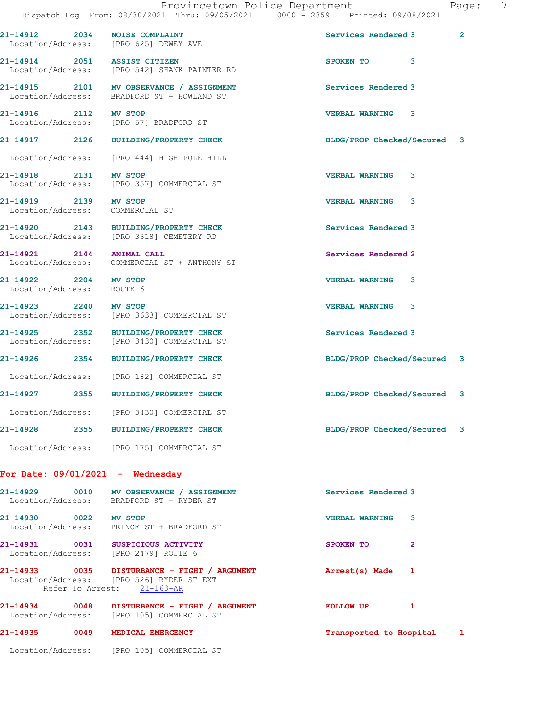|                                                    | Dispatch Log From: 08/30/2021 Thru: 09/05/2021 0000 - 2359 Printed: 09/08/2021                                         |                             |              |
|----------------------------------------------------|------------------------------------------------------------------------------------------------------------------------|-----------------------------|--------------|
|                                                    | 21-14912 2034 NOISE COMPLAINT<br>Location/Address: [PRO 625] DEWEY AVE                                                 | Services Rendered 3         | $\mathbf{2}$ |
|                                                    | 21-14914 2051 ASSIST CITIZEN<br>Location/Address: [PRO 542] SHANK PAINTER RD                                           | 3<br>SPOKEN TO              |              |
|                                                    | 21-14915 2101 MV OBSERVANCE / ASSIGNMENT<br>Location/Address: BRADFORD ST + HOWLAND ST                                 | Services Rendered 3         |              |
| 21-14916 2112 MV STOP                              | Location/Address: [PRO 57] BRADFORD ST                                                                                 | <b>VERBAL WARNING</b><br>3  |              |
|                                                    | 21-14917 2126 BUILDING/PROPERTY CHECK                                                                                  | BLDG/PROP Checked/Secured 3 |              |
|                                                    | Location/Address: [PRO 444] HIGH POLE HILL                                                                             |                             |              |
| 21-14918 2131 MV STOP                              | Location/Address: [PRO 357] COMMERCIAL ST                                                                              | <b>VERBAL WARNING</b><br>3  |              |
| 21-14919 2139 MV STOP<br>Location/Address:         | COMMERCIAL ST                                                                                                          | <b>VERBAL WARNING</b><br>3  |              |
|                                                    | 21-14920 2143 BUILDING/PROPERTY CHECK<br>Location/Address: [PRO 3318] CEMETERY RD                                      | Services Rendered 3         |              |
| 21-14921 2144 ANIMAL CALL                          | Location/Address: COMMERCIAL ST + ANTHONY ST                                                                           | Services Rendered 2         |              |
| 21-14922 2204 MV STOP<br>Location/Address: ROUTE 6 |                                                                                                                        | <b>VERBAL WARNING</b><br>3  |              |
| 21-14923 2240 MV STOP                              | Location/Address: [PRO 3633] COMMERCIAL ST                                                                             | <b>VERBAL WARNING</b><br>3  |              |
|                                                    | 21-14925 2352 BUILDING/PROPERTY CHECK<br>Location/Address: [PRO 3430] COMMERCIAL ST                                    | Services Rendered 3         |              |
|                                                    | 21-14926 2354 BUILDING/PROPERTY CHECK                                                                                  | BLDG/PROP Checked/Secured 3 |              |
|                                                    | Location/Address: [PRO 182] COMMERCIAL ST                                                                              |                             |              |
|                                                    | 21-14927 2355 BUILDING/PROPERTY CHECK                                                                                  | BLDG/PROP Checked/Secured 3 |              |
|                                                    | Location/Address: [PRO 3430] COMMERCIAL ST                                                                             |                             |              |
|                                                    | 21-14928 2355 BUILDING/PROPERTY CHECK                                                                                  | BLDG/PROP Checked/Secured 3 |              |
|                                                    | Location/Address: [PRO 175] COMMERCIAL ST                                                                              |                             |              |
|                                                    | For Date: $09/01/2021$ - Wednesday                                                                                     |                             |              |
|                                                    | 21-14929 0010 MV OBSERVANCE / ASSIGNMENT<br>Location/Address: BRADFORD ST + RYDER ST                                   | Services Rendered 3         |              |
| 21-14930 0022 MV STOP                              | Location/Address: PRINCE ST + BRADFORD ST                                                                              | <b>VERBAL WARNING</b><br>3  |              |
|                                                    | 21-14931 0031 SUSPICIOUS ACTIVITY<br>Location/Address: [PRO 2479] ROUTE 6                                              | SPOKEN TO<br>$\overline{2}$ |              |
|                                                    | 21-14933 0035 DISTURBANCE - FIGHT / ARGUMENT<br>Location/Address: [PRO 526] RYDER ST EXT<br>Refer To Arrest: 21-163-AR | Arrest(s) Made 1            |              |
|                                                    | 21-14934 0048 DISTURBANCE - FIGHT / ARGUMENT<br>Location/Address: [PRO 105] COMMERCIAL ST                              | FOLLOW UP<br>1              |              |
|                                                    | 21-14935 0049 MEDICAL EMERGENCY                                                                                        | Transported to Hospital 1   |              |
|                                                    | Location/Address: [PRO 105] COMMERCIAL ST                                                                              |                             |              |
|                                                    |                                                                                                                        |                             |              |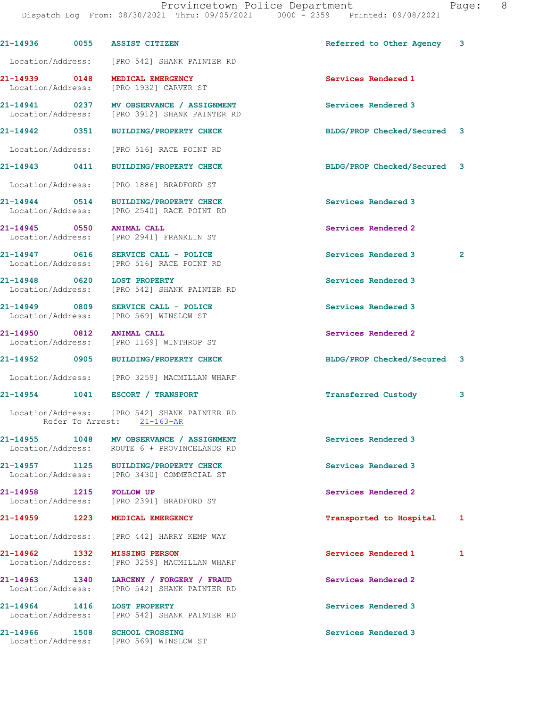| 21-14936<br>0055                             | <b>ASSIST CITIZEN</b>                                                                     | Referred to Other Agency 3  |              |
|----------------------------------------------|-------------------------------------------------------------------------------------------|-----------------------------|--------------|
|                                              | Location/Address: [PRO 542] SHANK PAINTER RD                                              |                             |              |
| 21-14939 0148                                | MEDICAL EMERGENCY<br>Location/Address: [PRO 1932] CARVER ST                               | Services Rendered 1         |              |
|                                              | 21-14941 0237 MV OBSERVANCE / ASSIGNMENT<br>Location/Address: [PRO 3912] SHANK PAINTER RD | Services Rendered 3         |              |
| 21-14942 0351                                | <b>BUILDING/PROPERTY CHECK</b>                                                            | BLDG/PROP Checked/Secured 3 |              |
|                                              | Location/Address: [PRO 516] RACE POINT RD                                                 |                             |              |
| 21-14943 0411                                | <b>BUILDING/PROPERTY CHECK</b>                                                            | BLDG/PROP Checked/Secured 3 |              |
| Location/Address:                            | [PRO 1886] BRADFORD ST                                                                    |                             |              |
|                                              | 21-14944 0514 BUILDING/PROPERTY CHECK<br>Location/Address: [PRO 2540] RACE POINT RD       | Services Rendered 3         |              |
| 21-14945 0550                                | <b>ANIMAL CALL</b><br>Location/Address: [PRO 2941] FRANKLIN ST                            | Services Rendered 2         |              |
|                                              | 21-14947 0616 SERVICE CALL - POLICE<br>Location/Address: [PRO 516] RACE POINT RD          | Services Rendered 3         | $\mathbf{2}$ |
| 21-14948 0620 LOST PROPERTY                  | Location/Address: [PRO 542] SHANK PAINTER RD                                              | Services Rendered 3         |              |
|                                              | 21-14949 0809 SERVICE CALL - POLICE<br>Location/Address: [PRO 569] WINSLOW ST             | Services Rendered 3         |              |
| 21-14950 0812 ANIMAL CALL                    | Location/Address: [PRO 1169] WINTHROP ST                                                  | Services Rendered 2         |              |
|                                              | 21-14952 0905 BUILDING/PROPERTY CHECK                                                     | BLDG/PROP Checked/Secured 3 |              |
|                                              | Location/Address: [PRO 3259] MACMILLAN WHARF                                              |                             |              |
|                                              | 21-14954   1041   ESCORT / TRANSPORT                                                      | <b>Transferred Custody</b>  | 3            |
|                                              | Location/Address: [PRO 542] SHANK PAINTER RD<br>Refer To Arrest: 21-163-AR                |                             |              |
| Location/Address:                            | 21-14955 1048 MV OBSERVANCE / ASSIGNMENT<br>ROUTE 6 + PROVINCELANDS RD                    | Services Rendered 3         |              |
|                                              | 21-14957 1125 BUILDING/PROPERTY CHECK<br>Location/Address: [PRO 3430] COMMERCIAL ST       | Services Rendered 3         |              |
| 21-14958 1215 FOLLOW UP<br>Location/Address: | [PRO 2391] BRADFORD ST                                                                    | Services Rendered 2         |              |
| 21-14959<br>1223                             | MEDICAL EMERGENCY                                                                         | Transported to Hospital     | 1            |
|                                              | Location/Address: [PRO 442] HARRY KEMP WAY                                                |                             |              |
| 21-14962 1332                                | <b>MISSING PERSON</b><br>Location/Address: [PRO 3259] MACMILLAN WHARF                     | Services Rendered 1         | 1            |
| 21-14963 1340                                | LARCENY / FORGERY / FRAUD<br>Location/Address: [PRO 542] SHANK PAINTER RD                 | Services Rendered 2         |              |
| 21-14964 1416 LOST PROPERTY                  | Location/Address: [PRO 542] SHANK PAINTER RD                                              | Services Rendered 3         |              |
| 21-14966 1508                                | <b>SCHOOL CROSSING</b><br>Location/Address: [PRO 569] WINSLOW ST                          | Services Rendered 3         |              |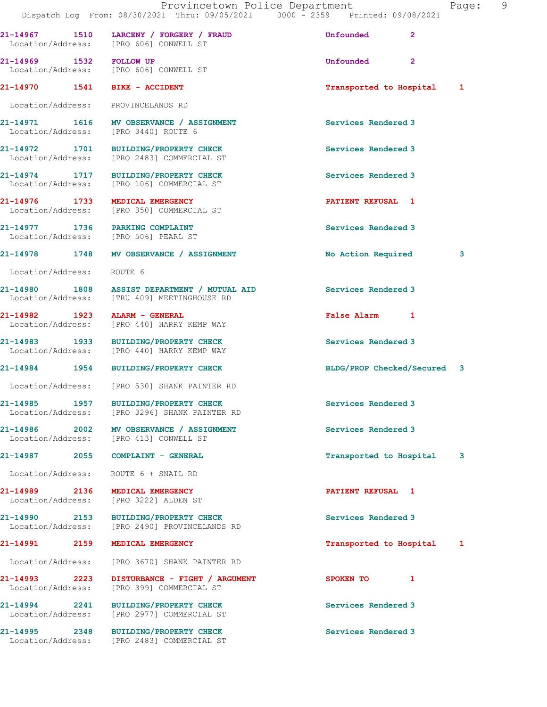|                                    | Dispatch Log From: 08/30/2021 Thru: 09/05/2021 0000 - 2359 Printed: 09/08/2021              | Provincetown Police Department | Page: 9 |
|------------------------------------|---------------------------------------------------------------------------------------------|--------------------------------|---------|
|                                    | 21-14967 1510 LARCENY / FORGERY / FRAUD<br>Location/Address: [PRO 606] CONWELL ST           | Unfounded<br>$\overline{2}$    |         |
| 21-14969 1532 FOLLOW UP            | Location/Address: [PRO 606] CONWELL ST                                                      | Unfounded<br>$\mathbf{2}$      |         |
|                                    | 21-14970   1541   BIKE - ACCIDENT                                                           | Transported to Hospital 1      |         |
|                                    | Location/Address: PROVINCELANDS RD                                                          |                                |         |
|                                    | 21-14971 1616 MV OBSERVANCE / ASSIGNMENT<br>Location/Address: [PRO 3440] ROUTE 6            | Services Rendered 3            |         |
|                                    | 21-14972 1701 BUILDING/PROPERTY CHECK<br>Location/Address: [PRO 2483] COMMERCIAL ST         | Services Rendered 3            |         |
|                                    | 21-14974 1717 BUILDING/PROPERTY CHECK<br>Location/Address: [PRO 106] COMMERCIAL ST          | Services Rendered 3            |         |
|                                    | 21-14976 1733 MEDICAL EMERGENCY<br>Location/Address: [PRO 350] COMMERCIAL ST                | PATIENT REFUSAL 1              |         |
|                                    | 21-14977 1736 PARKING COMPLAINT<br>Location/Address: [PRO 506] PEARL ST                     | Services Rendered 3            |         |
|                                    | 21-14978 1748 MV OBSERVANCE / ASSIGNMENT                                                    | No Action Required             | 3       |
| Location/Address: ROUTE 6          |                                                                                             |                                |         |
|                                    | 21-14980 1808 ASSIST DEPARTMENT / MUTUAL AID<br>Location/Address: [TRU 409] MEETINGHOUSE RD | Services Rendered 3            |         |
| 21-14982 1923                      | ALARM - GENERAL<br>Location/Address: [PRO 440] HARRY KEMP WAY                               | False Alarm 1                  |         |
|                                    | 21-14983 1933 BUILDING/PROPERTY CHECK<br>Location/Address: [PRO 440] HARRY KEMP WAY         | Services Rendered 3            |         |
|                                    | 21-14984 1954 BUILDING/PROPERTY CHECK                                                       | BLDG/PROP Checked/Secured 3    |         |
|                                    | Location/Address: [PRO 530] SHANK PAINTER RD                                                |                                |         |
| Location/Address:                  | 21-14985 1957 BUILDING/PROPERTY CHECK<br>[PRO 3296] SHANK PAINTER RD                        | Services Rendered 3            |         |
|                                    | 21-14986 2002 MV OBSERVANCE / ASSIGNMENT<br>Location/Address: [PRO 413] CONWELL ST          | Services Rendered 3            |         |
| 21-14987                           | 2055 COMPLAINT - GENERAL                                                                    | Transported to Hospital        | 3       |
| Location/Address:                  | ROUTE 6 + SNAIL RD                                                                          |                                |         |
| 21-14989 2136<br>Location/Address: | MEDICAL EMERGENCY<br>[PRO 3222] ALDEN ST                                                    | PATIENT REFUSAL 1              |         |
|                                    | 21-14990 2153 BUILDING/PROPERTY CHECK<br>Location/Address: [PRO 2490] PROVINCELANDS RD      | Services Rendered 3            |         |
| 21-14991 2159                      | MEDICAL EMERGENCY                                                                           | Transported to Hospital        | -1      |
| Location/Address:                  | [PRO 3670] SHANK PAINTER RD                                                                 |                                |         |
| Location/Address:                  | DISTURBANCE - FIGHT / ARGUMENT<br>[PRO 399] COMMERCIAL ST                                   | SPOKEN TO<br>$\mathbf{1}$      |         |
| Location/Address:                  | 21-14994 2241 BUILDING/PROPERTY CHECK<br>[PRO 2977] COMMERCIAL ST                           | Services Rendered 3            |         |
| 2348<br>21-14995                   | BUILDING/PROPERTY CHECK                                                                     | Services Rendered 3            |         |

Location/Address: [PRO 2483] COMMERCIAL ST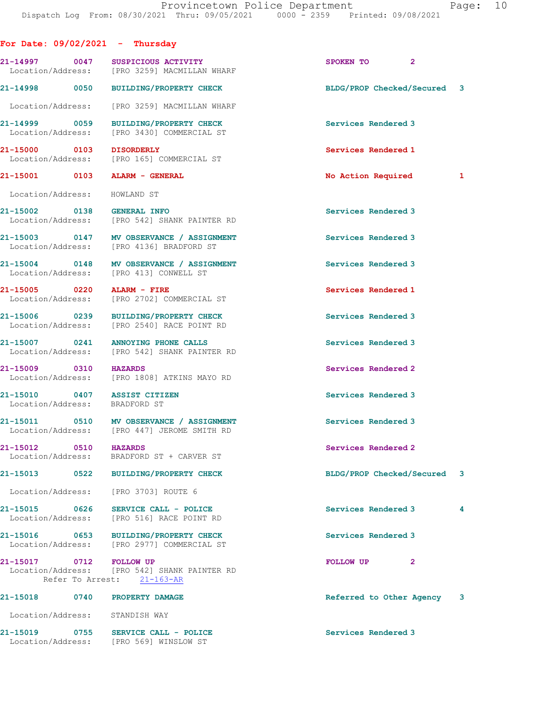| For Date: $09/02/2021 -$ Thursday                             |      |                                                                                         |                             |                |              |
|---------------------------------------------------------------|------|-----------------------------------------------------------------------------------------|-----------------------------|----------------|--------------|
|                                                               |      | 21-14997 0047 SUSPICIOUS ACTIVITY<br>Location/Address: [PRO 3259] MACMILLAN WHARF       | SPOKEN TO                   | $\mathbf{2}$   |              |
| 21-14998 0050                                                 |      | <b>BUILDING/PROPERTY CHECK</b>                                                          | BLDG/PROP Checked/Secured 3 |                |              |
|                                                               |      | Location/Address: [PRO 3259] MACMILLAN WHARF                                            |                             |                |              |
| 21-14999 0059<br>Location/Address:                            |      | BUILDING/PROPERTY CHECK<br>[PRO 3430] COMMERCIAL ST                                     | Services Rendered 3         |                |              |
| 21-15000 0103                                                 |      | <b>DISORDERLY</b><br>Location/Address: [PRO 165] COMMERCIAL ST                          | Services Rendered 1         |                |              |
| 21-15001 0103 ALARM - GENERAL                                 |      |                                                                                         | No Action Required          |                | $\mathbf{1}$ |
| Location/Address: HOWLAND ST                                  |      |                                                                                         |                             |                |              |
| 21-15002 0138 GENERAL INFO                                    |      | Location/Address: [PRO 542] SHANK PAINTER RD                                            | Services Rendered 3         |                |              |
|                                                               |      | 21-15003 0147 MV OBSERVANCE / ASSIGNMENT<br>Location/Address: [PRO 4136] BRADFORD ST    | Services Rendered 3         |                |              |
|                                                               |      | 21-15004 0148 MV OBSERVANCE / ASSIGNMENT<br>Location/Address: [PRO 413] CONWELL ST      | Services Rendered 3         |                |              |
| 21-15005 0220 ALARM - FIRE                                    |      | Location/Address: [PRO 2702] COMMERCIAL ST                                              | Services Rendered 1         |                |              |
| 21-15006 0239                                                 |      | BUILDING/PROPERTY CHECK<br>Location/Address: [PRO 2540] RACE POINT RD                   | Services Rendered 3         |                |              |
| 21-15007 0241                                                 |      | ANNOYING PHONE CALLS<br>Location/Address: [PRO 542] SHANK PAINTER RD                    | Services Rendered 3         |                |              |
| 21-15009 0310<br>Location/Address:                            |      | <b>HAZARDS</b><br>[PRO 1808] ATKINS MAYO RD                                             | Services Rendered 2         |                |              |
| 21-15010 0407 ASSIST CITIZEN<br>Location/Address: BRADFORD ST |      |                                                                                         | Services Rendered 3         |                |              |
|                                                               |      | 21-15011 0510 MV OBSERVANCE / ASSIGNMENT<br>Location/Address: [PRO 447] JEROME SMITH RD | Services Rendered 3         |                |              |
| 21-15012<br>0510<br>Location/Address:                         |      | <b>HAZARDS</b><br>BRADFORD ST + CARVER ST                                               | Services Rendered 2         |                |              |
| 21-15013                                                      | 0522 | <b>BUILDING/PROPERTY CHECK</b>                                                          | BLDG/PROP Checked/Secured 3 |                |              |
| Location/Address:                                             |      | [PRO 3703] ROUTE 6                                                                      |                             |                |              |
| 21-15015 0626<br>Location/Address:                            |      | SERVICE CALL - POLICE<br>[PRO 516] RACE POINT RD                                        | Services Rendered 3         |                | 4            |
| 21-15016 0653                                                 |      | BUILDING/PROPERTY CHECK<br>Location/Address: [PRO 2977] COMMERCIAL ST                   | Services Rendered 3         |                |              |
| 21-15017 0712 FOLLOW UP<br>Refer To Arrest:                   |      | Location/Address: [PRO 542] SHANK PAINTER RD<br>$21 - 163 - AR$                         | <b>FOLLOW UP</b>            | $\overline{2}$ |              |
| 21-15018 0740 PROPERTY DAMAGE                                 |      |                                                                                         | Referred to Other Agency 3  |                |              |
| Location/Address: STANDISH WAY                                |      |                                                                                         |                             |                |              |
| 21-15019 0755<br>Location/Address:                            |      | SERVICE CALL - POLICE<br>[PRO 569] WINSLOW ST                                           | Services Rendered 3         |                |              |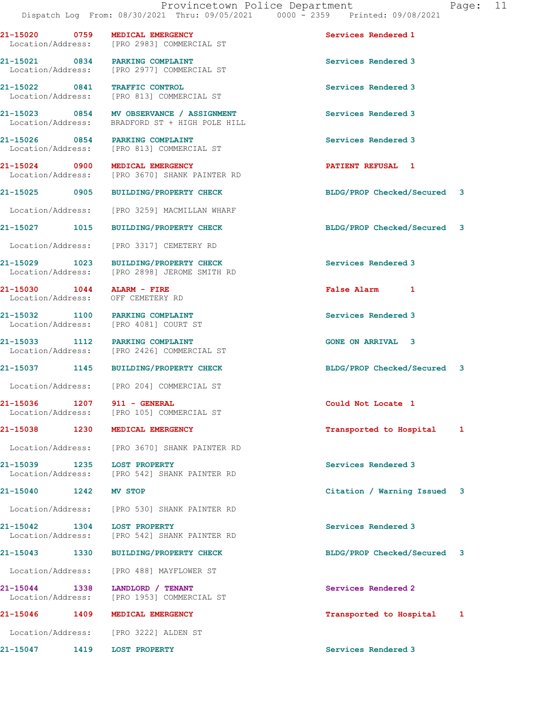21-15020 0759 MEDICAL EMERGENCY Services Rendered 1 Location/Address: [PRO 2983] COMMERCIAL ST 21-15021 0834 PARKING COMPLAINT Services Rendered 3 Location/Address: [PRO 2977] COMMERCIAL ST 21-15022 0841 TRAFFIC CONTROL Services Rendered 3 Location/Address: [PRO 813] COMMERCIAL ST 21-15023 0854 MV OBSERVANCE / ASSIGNMENT Services Rendered 3 Location/Address: BRADFORD ST + HIGH POLE HILL 21-15026 0854 PARKING COMPLAINT Services Rendered 3 Location/Address: [PRO 813] COMMERCIAL ST 21-15024 0900 MEDICAL EMERGENCY **120 CONTRACT SERVIT REFUSAL** 1 Location/Address: [PRO 3670] SHANK PAINTER RD 21-15025 0905 BUILDING/PROPERTY CHECK BLDG/PROP Checked/Secured 3 Location/Address: [PRO 3259] MACMILLAN WHARF 21-15027 1015 BUILDING/PROPERTY CHECK BLDG/PROP Checked/Secured 3 Location/Address: [PRO 3317] CEMETERY RD 21-15029 1023 BUILDING/PROPERTY CHECK Services Rendered 3<br>
Location/Address: [PRO 2898] JEROME SMITH RD [PRO 2898] JEROME SMITH RD 21-15030 1044 ALARM - FIRE False Alarm 1 Location/Address: OFF CEMETERY RD 21-15032 1100 PARKING COMPLAINT Services Rendered 3 Location/Address: [PRO 4081] COURT ST 21-15033 1112 PARKING COMPLAINT GONE ON ARRIVAL 3 Location/Address: [PRO 2426] COMMERCIAL ST 21-15037 1145 BUILDING/PROPERTY CHECK BLDG/PROP Checked/Secured 3 Location/Address: [PRO 204] COMMERCIAL ST 21-15036 1207 911 - GENERAL Could Not Locate 1 Location/Address: [PRO 105] COMMERCIAL ST 21-15038 1230 MEDICAL EMERGENCY **1230 1230** Transported to Hospital 1 Location/Address: [PRO 3670] SHANK PAINTER RD 21-15039 1235 LOST PROPERTY Services Rendered 3 Location/Address: [PRO 542] SHANK PAINTER RD 21-15040 1242 MV STOP Citation / Warning Issued 3 Location/Address: [PRO 530] SHANK PAINTER RD 21-15042 1304 LOST PROPERTY Services Rendered 3 Location/Address: [PRO 542] SHANK PAINTER RD 21-15043 1330 BUILDING/PROPERTY CHECK BLDG/PROP Checked/Secured 3 Location/Address: [PRO 488] MAYFLOWER ST 21-15044 1338 LANDLORD / TENANT Services Rendered 2 Location/Address: [PRO 1953] COMMERCIAL ST

Location/Address: [PRO 3222] ALDEN ST

21-15047 1419 LOST PROPERTY Services Rendered 3

21-15046 1409 MEDICAL EMERGENCY Transported to Hospital 1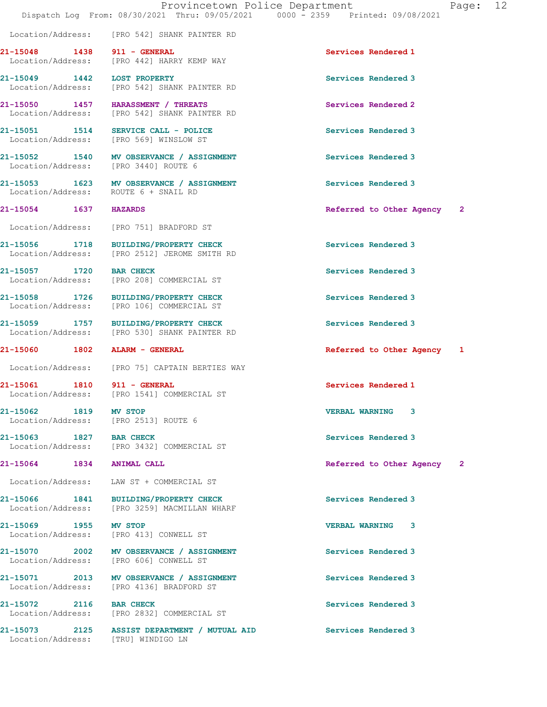Location/Address: [PRO 542] SHANK PAINTER RD

21-15048 1438 911 - GENERAL Services Rendered 1 Location/Address: [PRO 442] HARRY KEMP WAY

21-15049 1442 LOST PROPERTY Services Rendered 3

21-15062 1819 MV STOP VERBAL WARNING 3

21-15069 1955 MV STOP VERBAL WARNING 3

 Location/Address: [PRO 542] SHANK PAINTER RD 21-15050 1457 HARASSMENT / THREATS Services Rendered 2 Location/Address: [PRO 542] SHANK PAINTER RD

21-15051 1514 SERVICE CALL - POLICE 150 Services Rendered 3 Location/Address: [PRO 569] WINSLOW ST

21-15052 1540 MV OBSERVANCE / ASSIGNMENT Services Rendered 3 Location/Address: [PRO 3440] ROUTE 6

21-15053 1623 MV OBSERVANCE / ASSIGNMENT Services Rendered 3 Location/Address: ROUTE 6 + SNAIL RD

Location/Address: [PRO 751] BRADFORD ST

21-15056 1718 BUILDING/PROPERTY CHECK Services Rendered 3<br>
Location/Address: [PRO 2512] JEROME SMITH RD [PRO 2512] JEROME SMITH RD

21-15057 1720 BAR CHECK Services Rendered 3 Location/Address: [PRO 208] COMMERCIAL ST

21-15058 1726 BUILDING/PROPERTY CHECK Services Rendered 3 Location/Address: [PRO 106] COMMERCIAL ST

21-15059 1757 BUILDING/PROPERTY CHECK Services Rendered 3<br>
Location/Address: [PRO 530] SHANK PAINTER RD Location/Address: [PRO 530] SHANK PAINTER RD

Location/Address: [PRO 75] CAPTAIN BERTIES WAY

21-15061 1810 911 - GENERAL 21-15061 Services Rendered 1<br>
Location/Address: [PRO 1541] COMMERCIAL ST [PRO 1541] COMMERCIAL ST

Location/Address: [PRO 2513] ROUTE 6

21-15063 1827 BAR CHECK Services Rendered 3 Location/Address: [PRO 3432] COMMERCIAL ST

Location/Address: LAW ST + COMMERCIAL ST

21-15066 1841 BUILDING/PROPERTY CHECK Services Rendered 3 Location/Address: [PRO 3259] MACMILLAN WHARF

Location/Address: [PRO 413] CONWELL ST

21-15070 2002 MV OBSERVANCE / ASSIGNMENT Services Rendered 3 Location/Address: [PRO 606] CONWELL ST

21-15071 2013 MV OBSERVANCE / ASSIGNMENT Services Rendered 3 Location/Address: [PRO 4136] BRADFORD ST

21-15072 2116 BAR CHECK Services Rendered 3 Location/Address: [PRO 2832] COMMERCIAL ST

21-15073 2125 ASSIST DEPARTMENT / MUTUAL AID Services Rendered 3 Location/Address: [TRU] WINDIGO LN

21-15054 1637 HAZARDS Referred to Other Agency 2

21-15060 1802 ALARM - GENERAL Referred to Other Agency 1

21-15064 1834 ANIMAL CALL Referred to Other Agency 2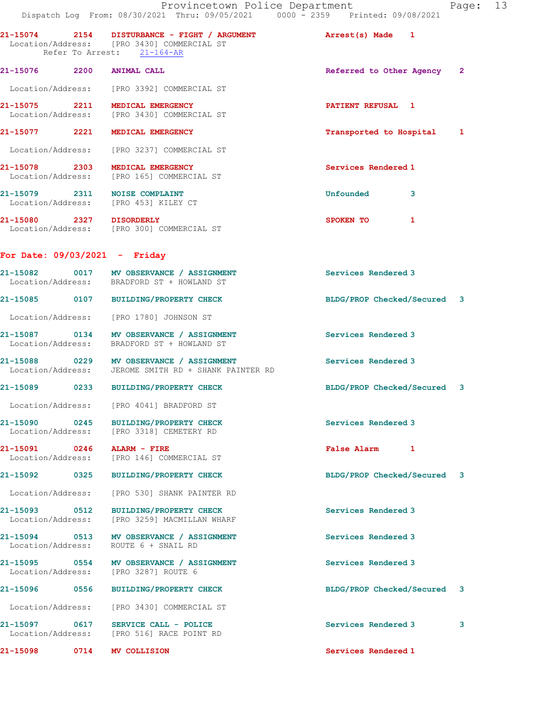|                   | Provincetown Police Department<br>Dispatch Log From: 08/30/2021 Thru: 09/05/2021 0000 - 2359 Printed: 09/08/2021                                                     |                             | Page: 13 |  |
|-------------------|----------------------------------------------------------------------------------------------------------------------------------------------------------------------|-----------------------------|----------|--|
|                   | 21-15074 2154 DISTURBANCE - FIGHT / ARGUMENT                         Arrest(s) Made    1<br>Location/Address: [PRO 3430] COMMERCIAL ST<br>Refer To Arrest: 21-164-AR |                             |          |  |
|                   | 21-15076 2200 ANIMAL CALL                                                                                                                                            | Referred to Other Agency 2  |          |  |
|                   | Location/Address: [PRO 3392] COMMERCIAL ST                                                                                                                           |                             |          |  |
|                   | 21-15075 2211 MEDICAL EMERGENCY<br>Location/Address: [PRO 3430] COMMERCIAL ST                                                                                        | PATIENT REFUSAL 1           |          |  |
|                   | 21-15077 2221 MEDICAL EMERGENCY                                                                                                                                      | Transported to Hospital 1   |          |  |
|                   | Location/Address: [PRO 3237] COMMERCIAL ST                                                                                                                           |                             |          |  |
|                   | 21-15078 2303 MEDICAL EMERGENCY<br>Location/Address: [PRO 165] COMMERCIAL ST                                                                                         | Services Rendered 1         |          |  |
|                   | 21-15079 2311 NOISE COMPLAINT<br>Location/Address: [PRO 453] KILEY CT                                                                                                | <b>Unfounded</b><br>3       |          |  |
|                   | 21-15080 2327 DISORDERLY<br>Location/Address: [PRO 300] COMMERCIAL ST                                                                                                | SPOKEN TO<br>1              |          |  |
|                   | For Date: $09/03/2021 -$ Friday                                                                                                                                      |                             |          |  |
|                   | 21-15082 0017 MV OBSERVANCE / ASSIGNMENT<br>Location/Address: BRADFORD ST + HOWLAND ST                                                                               | Services Rendered 3         |          |  |
|                   | 21-15085 0107 BUILDING/PROPERTY CHECK                                                                                                                                | BLDG/PROP Checked/Secured 3 |          |  |
|                   | Location/Address: [PRO 1780] JOHNSON ST                                                                                                                              |                             |          |  |
|                   | 21-15087 0134 MV OBSERVANCE / ASSIGNMENT<br>Location/Address: BRADFORD ST + HOWLAND ST                                                                               | Services Rendered 3         |          |  |
|                   | 21-15088 0229 MV OBSERVANCE / ASSIGNMENT<br>Location/Address: JEROME SMITH RD + SHANK PAINTER RD                                                                     | Services Rendered 3         |          |  |
|                   | 21-15089 0233 BUILDING/PROPERTY CHECK                                                                                                                                | BLDG/PROP Checked/Secured 3 |          |  |
| Location/Address: | [PRO 4041] BRADFORD ST                                                                                                                                               |                             |          |  |
|                   | 21-15090 0245 BUILDING/PROPERTY CHECK<br>Location/Address: [PRO 3318] CEMETERY RD                                                                                    | Services Rendered 3         |          |  |
|                   | 21-15091 0246 ALARM - FIRE<br>Location/Address: [PRO 146] COMMERCIAL ST                                                                                              | False Alarm 1               |          |  |
|                   | 21-15092 0325 BUILDING/PROPERTY CHECK                                                                                                                                | BLDG/PROP Checked/Secured 3 |          |  |
|                   | Location/Address: [PRO 530] SHANK PAINTER RD                                                                                                                         |                             |          |  |
|                   | 21-15093 0512 BUILDING/PROPERTY CHECK<br>Location/Address: [PRO 3259] MACMILLAN WHARF                                                                                | Services Rendered 3         |          |  |
|                   | 21-15094 0513 MV OBSERVANCE / ASSIGNMENT<br>Location/Address: ROUTE 6 + SNAIL RD                                                                                     | Services Rendered 3         |          |  |
|                   | 21-15095 0554 MV OBSERVANCE / ASSIGNMENT<br>Location/Address: [PRO 3287] ROUTE 6                                                                                     | Services Rendered 3         |          |  |
|                   | 21-15096 0556 BUILDING/PROPERTY CHECK                                                                                                                                | BLDG/PROP Checked/Secured 3 |          |  |
|                   | Location/Address: [PRO 3430] COMMERCIAL ST                                                                                                                           |                             |          |  |
|                   | 21-15097 0617 SERVICE CALL - POLICE<br>Location/Address: [PRO 516] RACE POINT RD                                                                                     | Services Rendered 3         | 3        |  |
|                   | 21-15098 0714 MV COLLISION                                                                                                                                           | Services Rendered 1         |          |  |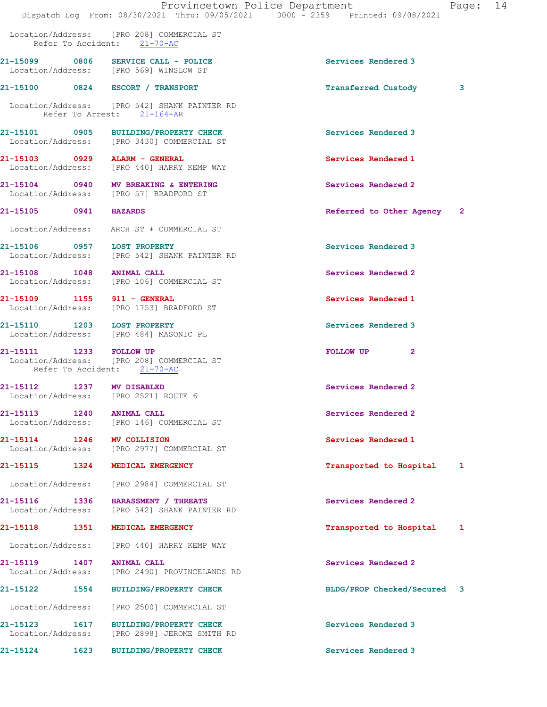|                                    |      | Provincetown Police Department<br>Dispatch Log From: 08/30/2021 Thru: 09/05/2021 0000 - 2359 Printed: 09/08/2021 |                             | Page: 14 |  |
|------------------------------------|------|------------------------------------------------------------------------------------------------------------------|-----------------------------|----------|--|
|                                    |      | Location/Address: [PRO 208] COMMERCIAL ST<br>Refer To Accident: 21-70-AC                                         |                             |          |  |
|                                    |      | 21-15099 0806 SERVICE CALL - POLICE<br>Location/Address: [PRO 569] WINSLOW ST                                    | Services Rendered 3         |          |  |
|                                    |      | 21-15100 0824 ESCORT / TRANSPORT                                                                                 | <b>Transferred Custody</b>  | 3        |  |
|                                    |      | Location/Address: [PRO 542] SHANK PAINTER RD<br>Refer To Arrest: 21-164-AR                                       |                             |          |  |
|                                    |      | 21-15101 0905 BUILDING/PROPERTY CHECK<br>Location/Address: [PRO 3430] COMMERCIAL ST                              | Services Rendered 3         |          |  |
|                                    |      | 21-15103 0929 ALARM - GENERAL<br>Location/Address: [PRO 440] HARRY KEMP WAY                                      | Services Rendered 1         |          |  |
|                                    |      | 21-15104 0940 MV BREAKING & ENTERING<br>Location/Address: [PRO 57] BRADFORD ST                                   | Services Rendered 2         |          |  |
| 21-15105 0941 HAZARDS              |      |                                                                                                                  | Referred to Other Agency 2  |          |  |
|                                    |      | Location/Address: ARCH ST + COMMERCIAL ST                                                                        |                             |          |  |
| 21-15106 0957 LOST PROPERTY        |      | Location/Address: [PRO 542] SHANK PAINTER RD                                                                     | Services Rendered 3         |          |  |
| 21-15108 1048 ANIMAL CALL          |      | Location/Address: [PRO 106] COMMERCIAL ST                                                                        | Services Rendered 2         |          |  |
| 21-15109 1155 911 - GENERAL        |      | Location/Address: [PRO 1753] BRADFORD ST                                                                         | Services Rendered 1         |          |  |
| 21-15110 1203 LOST PROPERTY        |      | Location/Address: [PRO 484] MASONIC PL                                                                           | Services Rendered 3         |          |  |
| 21-15111 1233 FOLLOW UP            |      | Location/Address: [PRO 208] COMMERCIAL ST<br>Refer To Accident: 21-70-AC                                         | FOLLOW UP<br>$\mathbf{2}$   |          |  |
| 21-15112 1237 MV DISABLED          |      | Location/Address: [PRO 2521] ROUTE 6                                                                             | Services Rendered 2         |          |  |
| 21-15113<br>Location/Address:      | 1240 | <b>ANIMAL CALL</b><br>[PRO 146] COMMERCIAL ST                                                                    | Services Rendered 2         |          |  |
| 21-15114 1246 MV COLLISION         |      | Location/Address: [PRO 2977] COMMERCIAL ST                                                                       | Services Rendered 1         |          |  |
| 21-15115 1324                      |      | MEDICAL EMERGENCY                                                                                                | Transported to Hospital     | 1        |  |
| Location/Address:                  |      | [PRO 2984] COMMERCIAL ST                                                                                         |                             |          |  |
| 21-15116 1336<br>Location/Address: |      | HARASSMENT / THREATS<br>[PRO 542] SHANK PAINTER RD                                                               | Services Rendered 2         |          |  |
| 21-15118                           | 1351 | MEDICAL EMERGENCY                                                                                                | Transported to Hospital     | 1        |  |
| Location/Address:                  |      | [PRO 440] HARRY KEMP WAY                                                                                         |                             |          |  |
| 21-15119 1407<br>Location/Address: |      | <b>ANIMAL CALL</b><br>[PRO 2490] PROVINCELANDS RD                                                                | Services Rendered 2         |          |  |
|                                    |      | 21-15122 1554 BUILDING/PROPERTY CHECK                                                                            | BLDG/PROP Checked/Secured 3 |          |  |
| Location/Address:                  |      | [PRO 2500] COMMERCIAL ST                                                                                         |                             |          |  |
| 21-15123 1617<br>Location/Address: |      | <b>BUILDING/PROPERTY CHECK</b><br>[PRO 2898] JEROME SMITH RD                                                     | Services Rendered 3         |          |  |
| 21-15124 1623                      |      | <b>BUILDING/PROPERTY CHECK</b>                                                                                   | Services Rendered 3         |          |  |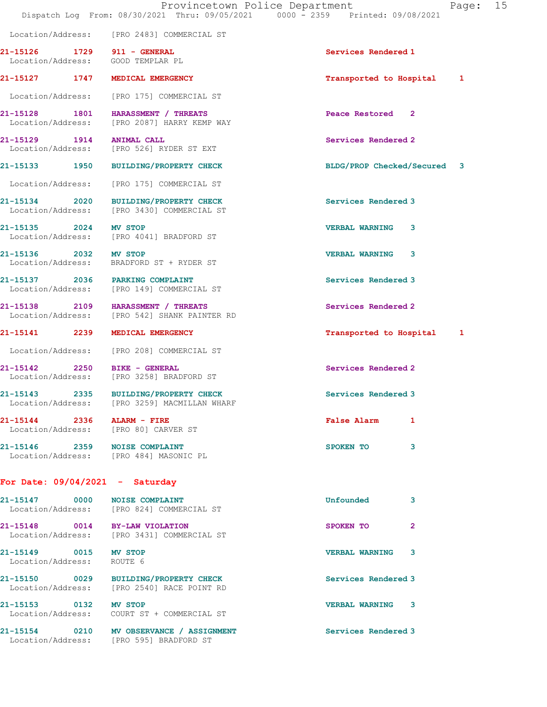21-15127 1747 MEDICAL EMERGENCY Transported to Hospital 1

21-15126 1729 911 - GENERAL Services Rendered 1

 Location/Address: [PRO 175] COMMERCIAL ST 21-15128 1801 HARASSMENT / THREATS Peace Restored 2 Location/Address: [PRO 2087] HARRY KEMP WAY 21-15129 1914 ANIMAL CALL Services Rendered 2 Location/Address: [PRO 526] RYDER ST EXT 21-15133 1950 BUILDING/PROPERTY CHECK BLDG/PROP Checked/Secured 3 Location/Address: [PRO 175] COMMERCIAL ST 21-15134 2020 BUILDING/PROPERTY CHECK Services Rendered 3 Location/Address: [PRO 3430] COMMERCIAL ST 21-15135 2024 MV STOP VERBAL WARNING 3 Location/Address: [PRO 4041] BRADFORD ST 21-15136 2032 MV STOP VERBAL WARNING 3 Location/Address: BRADFORD ST + RYDER ST 21-15137 2036 PARKING COMPLAINT Services Rendered 3 Location/Address: [PRO 149] COMMERCIAL ST 21-15138 2109 HARASSMENT / THREATS Services Rendered 2 Location/Address: [PRO 542] SHANK PAINTER RD 21-15141 2239 MEDICAL EMERGENCY Transported to Hospital 1 Location/Address: [PRO 208] COMMERCIAL ST 21-15142 2250 BIKE - GENERAL Services Rendered 2 Location/Address: [PRO 3258] BRADFORD ST 21-15143 2335 BUILDING/PROPERTY CHECK Services Rendered 3 Location/Address: [PRO 3259] MACMILLAN WHARF 21-15144 2336 ALARM - FIRE False Alarm 1 Location/Address: [PRO 80] CARVER ST 21-15146 2359 NOISE COMPLAINT 3 21-15147 0000 NOISE COMPLAINT COMPRESSES SURFAINT COMPOUNDED UNFOUNDED 3 Location/Address: [PRO 824] COMMERCIAL ST 21-15148 0014 BY-LAW VIOLATION SPOKEN TO 2 Location/Address: [PRO 3431] COMMERCIAL ST 21-15149 0015 MV STOP VERBAL WARNING 3

21-15150 0029 BUILDING/PROPERTY CHECK Services Rendered 3 Location/Address: [PRO 2540] RACE POINT RD 21-15153 0132 MV STOP VERBAL WARNING 3 Location/Address: COURT ST + COMMERCIAL ST

21-15154 0210 MV OBSERVANCE / ASSIGNMENT Services Rendered 3 Location/Address: [PRO 595] BRADFORD ST

Location/Address: [PRO 2483] COMMERCIAL ST

Location/Address: GOOD TEMPLAR PL

Location/Address: [PRO 484] MASONIC PL

For Date: 09/04/2021 - Saturday

Location/Address: ROUTE 6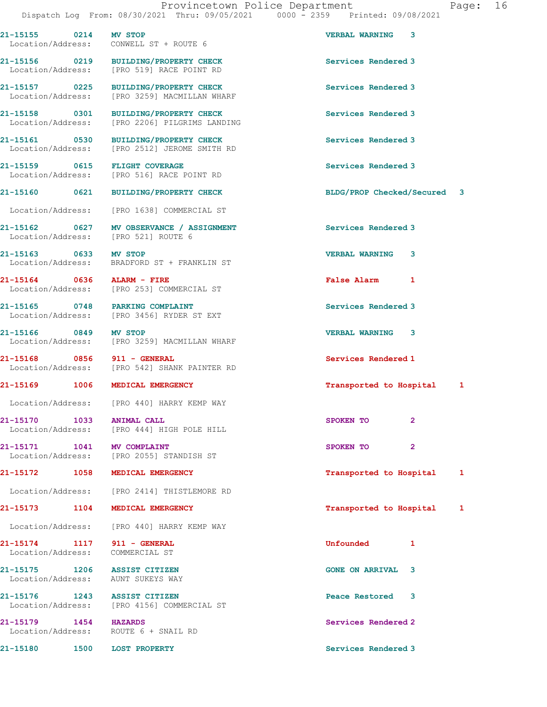21-15155 0214 MV STOP VERBAL WARNING 3 Location/Address: CONWELL ST + ROUTE 6 21-15156 0219 BUILDING/PROPERTY CHECK Services Rendered 3 Location/Address: [PRO 519] RACE POINT RD 21-15157 0225 BUILDING/PROPERTY CHECK Services Rendered 3 Location/Address: [PRO 3259] MACMILLAN WHARF 21-15158 0301 BUILDING/PROPERTY CHECK Services Rendered 3 Location/Address: [PRO 2206] PILGRIMS LANDING 21-15161 0530 BUILDING/PROPERTY CHECK Services Rendered 3 Location/Address: [PRO 2512] JEROME SMITH RD 21-15159 0615 FLIGHT COVERAGE Services Rendered 3 Location/Address: [PRO 516] RACE POINT RD 21-15160 0621 BUILDING/PROPERTY CHECK BLDG/PROP Checked/Secured 3 Location/Address: [PRO 1638] COMMERCIAL ST 21-15162 0627 MV OBSERVANCE / ASSIGNMENT Services Rendered 3 Location/Address: [PRO 521] ROUTE 6 21-15163 0633 MV STOP VERBAL WARNING 3 Location/Address: BRADFORD ST + FRANKLIN ST 21-15164 0636 ALARM - FIRE False Alarm 1 Location/Address: [PRO 253] COMMERCIAL ST 21-15165 0748 PARKING COMPLAINT Services Rendered 3 Location/Address: [PRO 3456] RYDER ST EXT 21-15166 0849 MV STOP VERBAL WARNING 3 Location/Address: [PRO 3259] MACMILLAN WHARF 21-15168 0856 911 - GENERAL Services Rendered 1 Location/Address: [PRO 542] SHANK PAINTER RD 21-15169 1006 MEDICAL EMERGENCY **1200** 1006 Transported to Hospital 1 Location/Address: [PRO 440] HARRY KEMP WAY 21-15170 1033 ANIMAL CALL 3POKEN TO 2 Location/Address: [PRO 444] HIGH POLE HILL 21-15171 1041 MV COMPLAINT 1001 SPOKEN TO 2<br>
Location/Address: [PRO 2055] STANDISH ST [PRO 2055] STANDISH ST 21-15172 1058 MEDICAL EMERGENCY 120 1 Transported to Hospital 1 Location/Address: [PRO 2414] THISTLEMORE RD 21-15173 1104 MEDICAL EMERGENCY Transported to Hospital 1 Location/Address: [PRO 440] HARRY KEMP WAY 21-15174 1117 911 - GENERAL Unfounded 1 Location/Address: COMMERCIAL ST 21-15175 1206 ASSIST CITIZEN GONE ON ARRIVAL 3 Location/Address: AUNT SUKEYS WAY 21-15176 1243 ASSIST CITIZEN Peace Restored 3 Location/Address: [PRO 4156] COMMERCIAL ST 21-15179 1454 HAZARDS Services Rendered 2 Location/Address: ROUTE 6 + SNAIL RD 21-15180 1500 LOST PROPERTY Services Rendered 3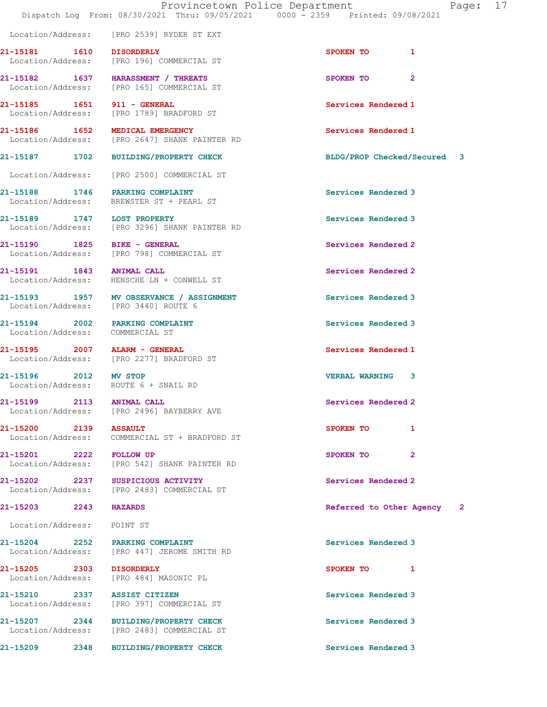Location/Address: [PRO 2539] RYDER ST EXT

21-15181 1610 DISORDERLY SPOKEN TO 1 Location/Address: [PRO 196] COMMERCIAL ST

21-15182 1637 HARASSMENT / THREATS SPOKEN TO 2 Location/Address: [PRO 165] COMMERCIAL ST

21-15185 1651 911 - GENERAL Services Rendered 1 Location/Address: [PRO 1789] BRADFORD ST

21-15186 1652 MEDICAL EMERGENCY Services Rendered 1 Location/Address: [PRO 2647] SHANK PAINTER RD

21-15188 1746 PARKING COMPLAINT Services Rendered 3

21-15189 1747 LOST PROPERTY Services Rendered 3 Location/Address: [PRO 3296] SHANK PAINTER RD

21-15190 1825 BIKE - GENERAL 21-15190 Services Rendered 2<br>
Location/Address: [PRO 798] COMMERCIAL ST

21-15191 1843 ANIMAL CALL Services Rendered 2

21-15193 1957 MV OBSERVANCE / ASSIGNMENT Services Rendered 3

Location/Address: COMMERCIAL ST

21-15195 2007 ALARM - GENERAL Services Rendered 1 Location/Address: [PRO 2277] BRADFORD ST

Location/Address: [PRO 2496] BAYBERRY AVE

Location/Address: COMMERCIAL ST + BRADFORD ST

21-15201 2222 FOLLOW UP SPOKEN TO 2 Location/Address: [PRO 542] SHANK PAINTER RD

21-15202 2237 SUSPICIOUS ACTIVITY<br>
Location/Address: [PRO 2483] COMMERCIAL ST [PRO 2483] COMMERCIAL ST

Location/Address: POINT ST

21-15204 2252 PARKING COMPLAINT Services Rendered 3 Location/Address: [PRO 447] JEROME SMITH RD

21-15205 2303 DISORDERLY SPOKEN TO 1 Location/Address: [PRO 484] MASONIC PL

21-15210 2337 ASSIST CITIZEN Services Rendered 3 Location/Address: [PRO 397] COMMERCIAL ST

21-15207 2344 BUILDING/PROPERTY CHECK Services Rendered 3<br>
Location/Address: [PRO 2483] COMMERCIAL ST [PRO 2483] COMMERCIAL ST

21-15209 2348 BUILDING/PROPERTY CHECK Services Rendered 3

21-15187 1702 BUILDING/PROPERTY CHECK BLDG/PROP Checked/Secured 3

21-15196 2012 MV STOP VERBAL WARNING 3

21-15203 2243 HAZARDS Referred to Other Agency 2

Location/Address: [PRO 2500] COMMERCIAL ST

Location/Address: BREWSTER ST + PEARL ST

[PRO 798] COMMERCIAL ST

Location/Address: HENSCHE LN + CONWELL ST

Location/Address: [PRO 3440] ROUTE 6

21-15194 2002 PARKING COMPLAINT Services Rendered 3

Location/Address: ROUTE 6 + SNAIL RD

21-15199 2113 ANIMAL CALL Services Rendered 2

21-15200 2139 ASSAULT SPOKEN TO 1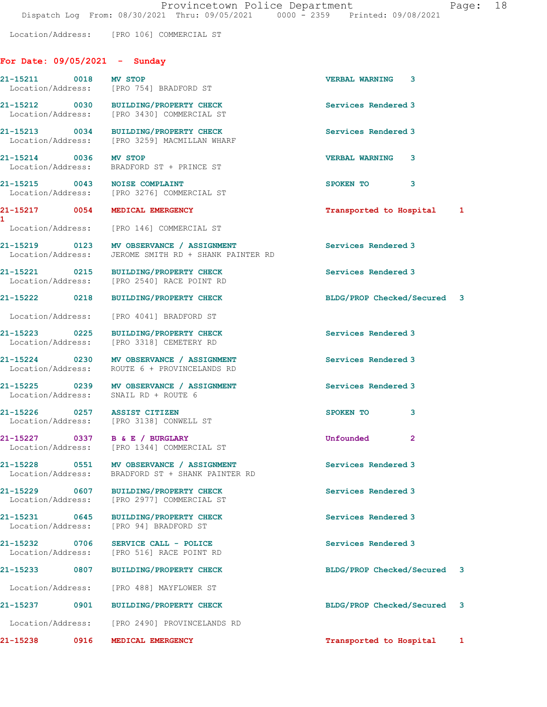Location/Address: [PRO 106] COMMERCIAL ST

## For Date: 09/05/2021 - Sunday

|                                    | 21-15211 0018 MV STOP<br>Location/Address: [PRO 754] BRADFORD ST                                 | <b>VERBAL WARNING 3</b>     |  |
|------------------------------------|--------------------------------------------------------------------------------------------------|-----------------------------|--|
|                                    | 21-15212 0030 BUILDING/PROPERTY CHECK<br>Location/Address: [PRO 3430] COMMERCIAL ST              | Services Rendered 3         |  |
|                                    | 21-15213 0034 BUILDING/PROPERTY CHECK<br>Location/Address: [PRO 3259] MACMILLAN WHARF            | Services Rendered 3         |  |
| 21-15214 0036 MV STOP              | Location/Address: BRADFORD ST + PRINCE ST                                                        | VERBAL WARNING 3            |  |
|                                    | 21-15215 0043 NOISE COMPLAINT<br>Location/Address: [PRO 3276] COMMERCIAL ST                      | SPOKEN TO 3                 |  |
|                                    | 21-15217 0054 MEDICAL EMERGENCY                                                                  | Transported to Hospital 1   |  |
|                                    | Location/Address: [PRO 146] COMMERCIAL ST                                                        |                             |  |
|                                    | 21-15219 0123 MV OBSERVANCE / ASSIGNMENT<br>Location/Address: JEROME SMITH RD + SHANK PAINTER RD | Services Rendered 3         |  |
|                                    | 21-15221 0215 BUILDING/PROPERTY CHECK<br>Location/Address: [PRO 2540] RACE POINT RD              | Services Rendered 3         |  |
|                                    | 21-15222 0218 BUILDING/PROPERTY CHECK                                                            | BLDG/PROP Checked/Secured 3 |  |
|                                    | Location/Address: [PRO 4041] BRADFORD ST                                                         |                             |  |
|                                    | 21-15223 0225 BUILDING/PROPERTY CHECK<br>Location/Address: [PRO 3318] CEMETERY RD                | Services Rendered 3         |  |
|                                    | 21-15224 0230 MV OBSERVANCE / ASSIGNMENT<br>Location/Address: ROUTE 6 + PROVINCELANDS RD         | Services Rendered 3         |  |
|                                    | 21-15225 0239 MV OBSERVANCE / ASSIGNMENT<br>Location/Address: SNAIL RD + ROUTE 6                 | Services Rendered 3         |  |
| 21-15226 0257 ASSIST CITIZEN       | Location/Address: [PRO 3138] CONWELL ST                                                          | SPOKEN TO<br>3              |  |
|                                    | 21-15227 0337 B & E / BURGLARY<br>Location/Address: [PRO 1344] COMMERCIAL ST                     | Unfounded<br>$\mathbf{2}$   |  |
| 21-15228 0551<br>Location/Address: | MV OBSERVANCE / ASSIGNMENT<br>BRADFORD ST + SHANK PAINTER RD                                     | Services Rendered 3         |  |
| 21-15229<br>0607                   | <b>BUILDING/PROPERTY CHECK</b><br>Location/Address: [PRO 2977] COMMERCIAL ST                     | Services Rendered 3         |  |
| 21-15231 0645<br>Location/Address: | <b>BUILDING/PROPERTY CHECK</b><br>[PRO 94] BRADFORD ST                                           | Services Rendered 3         |  |
| 21-15232 0706                      | SERVICE CALL - POLICE<br>Location/Address: [PRO 516] RACE POINT RD                               | Services Rendered 3         |  |
| 21-15233<br>0807                   | <b>BUILDING/PROPERTY CHECK</b>                                                                   | BLDG/PROP Checked/Secured 3 |  |
|                                    | Location/Address: [PRO 488] MAYFLOWER ST                                                         |                             |  |
| 0901<br>21-15237                   | BUILDING/PROPERTY CHECK                                                                          | BLDG/PROP Checked/Secured 3 |  |
|                                    | Location/Address: [PRO 2490] PROVINCELANDS RD                                                    |                             |  |
| 21-15238<br>0916                   | MEDICAL EMERGENCY                                                                                | Transported to Hospital 1   |  |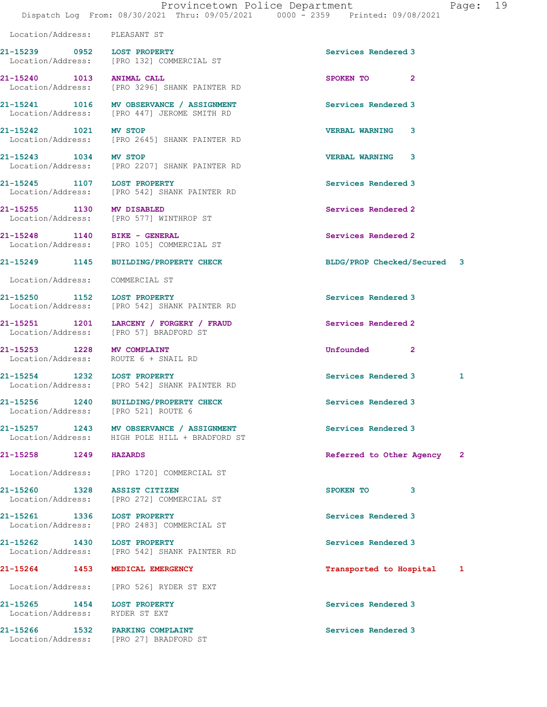| $\sim$ $\sim$ $\sim$ $\sim$ | --------- |  |
|-----------------------------|-----------|--|
|                             |           |  |
|                             |           |  |

Location/Address: PLEASANT ST

21-15239 0952 LOST PROPERTY Services Rendered 3 Location/Address: [PRO 132] COMMERCIAL ST

21-15240 1013 ANIMAL CALL SPOKEN TO 2 Location/Address: [PRO 3296] SHANK PAINTER RD

21-15241 1016 MV OBSERVANCE / ASSIGNMENT Services Rendered 3 Location/Address: [PRO 447] JEROME SMITH RD

21-15242 1021 MV STOP VERBAL WARNING 3 Location/Address: [PRO 2645] SHANK PAINTER RD

21-15243 1034 MV STOP VERBAL WARNING 3 Location/Address: [PRO 2207] SHANK PAINTER RD

21-15245 1107 LOST PROPERTY Services Rendered 3 Location/Address: [PRO 542] SHANK PAINTER RD

21-15255 1130 MV DISABLED Services Rendered 2 Location/Address: [PRO 577] WINTHROP ST

21-15248 1140 BIKE - GENERAL Services Rendered 2 Location/Address: [PRO 105] COMMERCIAL ST

Location/Address: COMMERCIAL ST

21-15250 1152 LOST PROPERTY Services Rendered 3 Location/Address: [PRO 542] SHANK PAINTER RD

21-15251 1201 LARCENY / FORGERY / FRAUD Services Rendered 2 Location/Address: [PRO 57] BRADFORD ST

21-15253 1228 MV COMPLAINT Unfounded 2 Location/Address: ROUTE 6 + SNAIL RD

Location/Address: [PRO 542] SHANK PAINTER RD

21-15256 1240 BUILDING/PROPERTY CHECK Services Rendered 3 Location/Address: [PRO 521] ROUTE 6

21-15257 1243 MV OBSERVANCE / ASSIGNMENT Services Rendered 3 Location/Address: HIGH POLE HILL + BRADFORD ST

Location/Address: [PRO 1720] COMMERCIAL ST

21-15261 1336 LOST PROPERTY Services Rendered 3 Location/Address: [PRO 2483] COMMERCIAL ST

21-15262 1430 LOST PROPERTY Services Rendered 3 Location/Address: [PRO 542] SHANK PAINTER RD

21-15265 1454 LOST PROPERTY Services Rendered 3 Location/Address: RYDER ST EXT

21-15266 1532 PARKING COMPLAINT Services Rendered 3

Location/Address: [PRO 526] RYDER ST EXT

Location/Address: [PRO 27] BRADFORD ST

[PRO 272] COMMERCIAL ST

21-15249 1145 BUILDING/PROPERTY CHECK BLDG/PROP Checked/Secured 3

21-15254 1232 LOST PROPERTY **1200 1200 1200 1200 121** Services Rendered 3 1

21-15258 1249 HAZARDS Referred to Other Agency 2

21-15260 1328 ASSIST CITIZEN SPOKEN TO 3<br>
Location/Address: [PRO 272] COMMERCIAL ST

21-15264 1453 MEDICAL EMERGENCY Transported to Hospital 1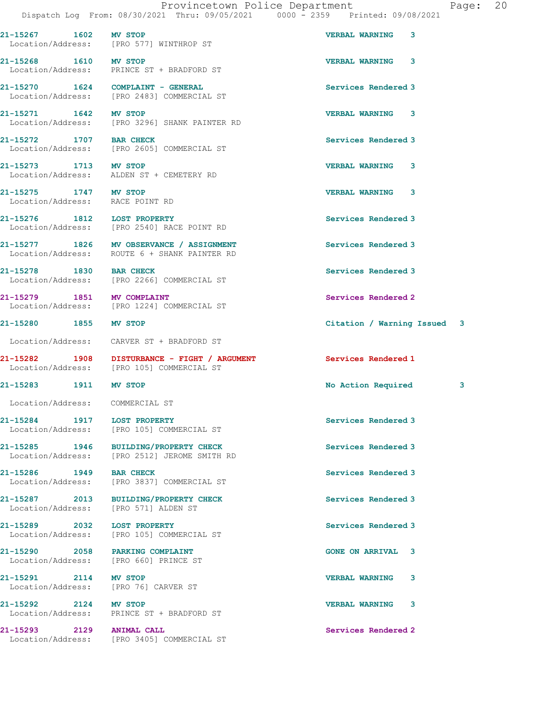Dispatch Log From: 08/30/2021 Thru: 09/05/2021 0000 - 2359 Printed: 09/08/2021 21-15267 1602 MV STOP VERBAL WARNING 3 Location/Address: [PRO 577] WINTHROP ST 21-15268 1610 MV STOP VERBAL WARNING 3 Location/Address: PRINCE ST + BRADFORD ST 21-15270 1624 COMPLAINT - GENERAL Services Rendered 3 Location/Address: [PRO 2483] COMMERCIAL ST 21-15271 1642 MV STOP VERBAL WARNING 3 Location/Address: [PRO 3296] SHANK PAINTER RD 21-15272 1707 BAR CHECK Services Rendered 3 Location/Address: [PRO 2605] COMMERCIAL ST 21-15273 1713 MV STOP VERBAL WARNING 3 Location/Address: ALDEN ST + CEMETERY RD 21-15275 1747 MV STOP VERBAL WARNING 3 Location/Address: RACE POINT RD 21-15276 1812 LOST PROPERTY Services Rendered 3 Location/Address: [PRO 2540] RACE POINT RD 21-15277 1826 MV OBSERVANCE / ASSIGNMENT Services Rendered 3<br>
Location/Address: ROUTE 6 + SHANK PAINTER RD ROUTE 6 + SHANK PAINTER RD 21-15278 1830 BAR CHECK Services Rendered 3 Location/Address: [PRO 2266] COMMERCIAL ST 21-15279 1851 MV COMPLAINT Services Rendered 2 Location/Address: [PRO 1224] COMMERCIAL ST 21-15280 1855 MV STOP Citation / Warning Issued 3 Location/Address: CARVER ST + BRADFORD ST 21-15282 1908 DISTURBANCE - FIGHT / ARGUMENT Services Rendered 1<br>
Location/Address: [PRO 105] COMMERCIAL ST [PRO 105] COMMERCIAL ST 21-15283 1911 MV STOP 20 21-15283 21-15283 21-15283 3 Location/Address: COMMERCIAL ST 21-15284 1917 LOST PROPERTY **1200 Services** Rendered 3 Location/Address: [PRO 105] COMMERCIAL ST 21-15285 1946 BUILDING/PROPERTY CHECK Services Rendered 3 Location/Address: [PRO 2512] JEROME SMITH RD 21-15286 1949 BAR CHECK Services Rendered 3 Location/Address: [PRO 3837] COMMERCIAL ST 21-15287 2013 BUILDING/PROPERTY CHECK Services Rendered 3 Location/Address: [PRO 571] ALDEN ST 21-15289 2032 LOST PROPERTY Services Rendered 3 Location/Address: [PRO 105] COMMERCIAL ST 21-15290 2058 PARKING COMPLAINT GONE ON ARRIVAL 3 Location/Address: [PRO 660] PRINCE ST 21-15291 2114 MV STOP VERBAL WARNING 3 Location/Address: [PRO 76] CARVER ST

21-15292 2124 MV STOP VERBAL WARNING 3 Location/Address: PRINCE ST + BRADFORD ST

21-15293 2129 ANIMAL CALL Services Rendered 2 Location/Address: [PRO 3405] COMMERCIAL ST